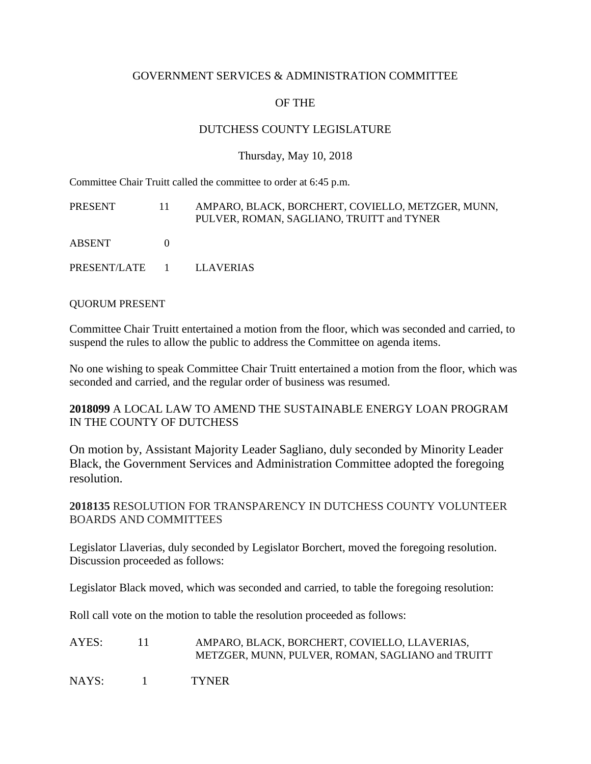#### GOVERNMENT SERVICES & ADMINISTRATION COMMITTEE

# OF THE

### DUTCHESS COUNTY LEGISLATURE

#### Thursday, May 10, 2018

Committee Chair Truitt called the committee to order at 6:45 p.m.

| PRESENT                  | 11 | AMPARO, BLACK, BORCHERT, COVIELLO, METZGER, MUNN,<br>PULVER, ROMAN, SAGLIANO, TRUITT and TYNER |
|--------------------------|----|------------------------------------------------------------------------------------------------|
| ABSENT                   |    |                                                                                                |
| PRESENT/LATE 1 LLAVERIAS |    |                                                                                                |

QUORUM PRESENT

Committee Chair Truitt entertained a motion from the floor, which was seconded and carried, to suspend the rules to allow the public to address the Committee on agenda items.

No one wishing to speak Committee Chair Truitt entertained a motion from the floor, which was seconded and carried, and the regular order of business was resumed.

**2018099** A LOCAL LAW TO AMEND THE SUSTAINABLE ENERGY LOAN PROGRAM IN THE COUNTY OF DUTCHESS

On motion by, Assistant Majority Leader Sagliano, duly seconded by Minority Leader Black, the Government Services and Administration Committee adopted the foregoing resolution.

**2018135** RESOLUTION FOR TRANSPARENCY IN DUTCHESS COUNTY VOLUNTEER BOARDS AND COMMITTEES

Legislator Llaverias, duly seconded by Legislator Borchert, moved the foregoing resolution. Discussion proceeded as follows:

Legislator Black moved, which was seconded and carried, to table the foregoing resolution:

Roll call vote on the motion to table the resolution proceeded as follows:

| AYES: |              | AMPARO, BLACK, BORCHERT, COVIELLO, LLAVERIAS,<br>METZGER, MUNN, PULVER, ROMAN, SAGLIANO and TRUITT |
|-------|--------------|----------------------------------------------------------------------------------------------------|
| NAYS: | $\mathbf{I}$ | <b>TYNER</b>                                                                                       |